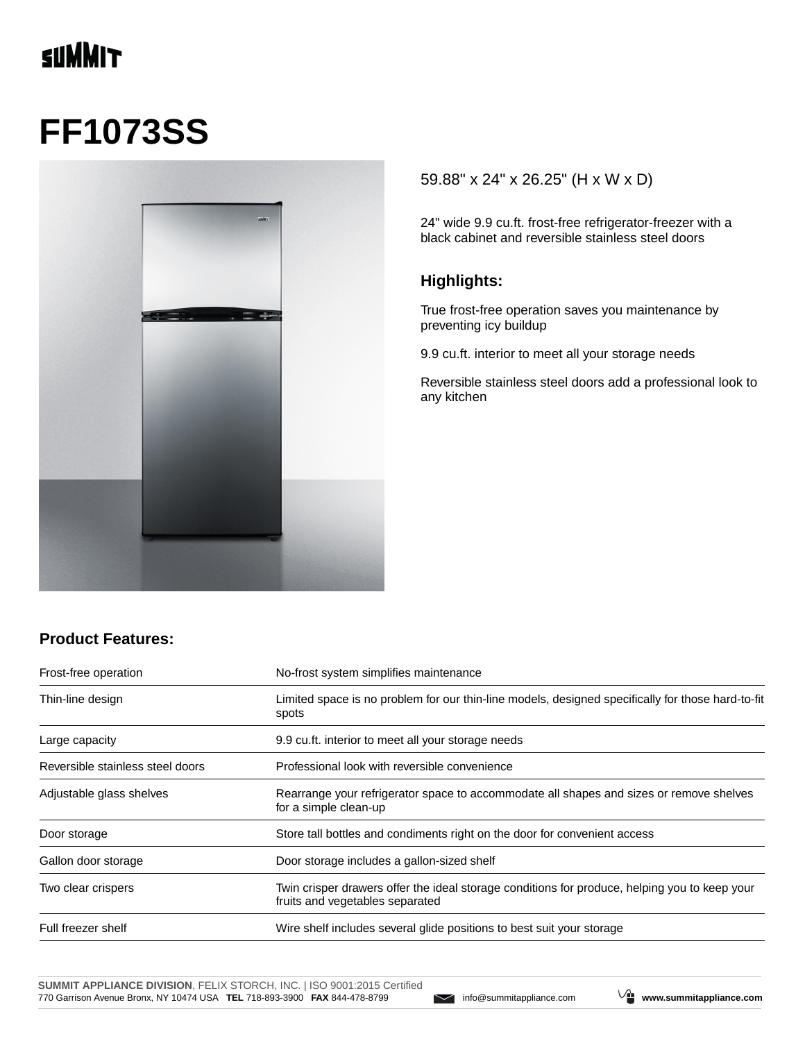## **TINNIT**

# **FF1073SS**



#### 59.88" x 24" x 26.25" (H x W x D)

24" wide 9.9 cu.ft. frost-free refrigerator-freezer with a black cabinet and reversible stainless steel doors

#### **Highlights:**

True frost-free operation saves you maintenance by preventing icy buildup

9.9 cu.ft. interior to meet all your storage needs

Reversible stainless steel doors add a professional look to any kitchen

#### **Product Features:**

| Frost-free operation             | No-frost system simplifies maintenance<br>Limited space is no problem for our thin-line models, designed specifically for those hard-to-fit<br>spots |  |
|----------------------------------|------------------------------------------------------------------------------------------------------------------------------------------------------|--|
| Thin-line design                 |                                                                                                                                                      |  |
| Large capacity                   | 9.9 cu.ft. interior to meet all your storage needs                                                                                                   |  |
| Reversible stainless steel doors | Professional look with reversible convenience                                                                                                        |  |
| Adjustable glass shelves         | Rearrange your refrigerator space to accommodate all shapes and sizes or remove shelves<br>for a simple clean-up                                     |  |
| Door storage                     | Store tall bottles and condiments right on the door for convenient access                                                                            |  |
| Gallon door storage              | Door storage includes a gallon-sized shelf                                                                                                           |  |
| Two clear crispers               | Twin crisper drawers offer the ideal storage conditions for produce, helping you to keep your<br>fruits and vegetables separated                     |  |
| Full freezer shelf               | Wire shelf includes several glide positions to best suit your storage                                                                                |  |

**SUMMIT APPLIANCE DIVISION**, FELIX STORCH, INC. | ISO 9001:2015 Certified 770 Garrison Avenue Bronx, NY 10474 USA **TEL** 718-893-3900 **FAX** 844-478-8799 info@summitappliance.com **www.summitappliance.com**